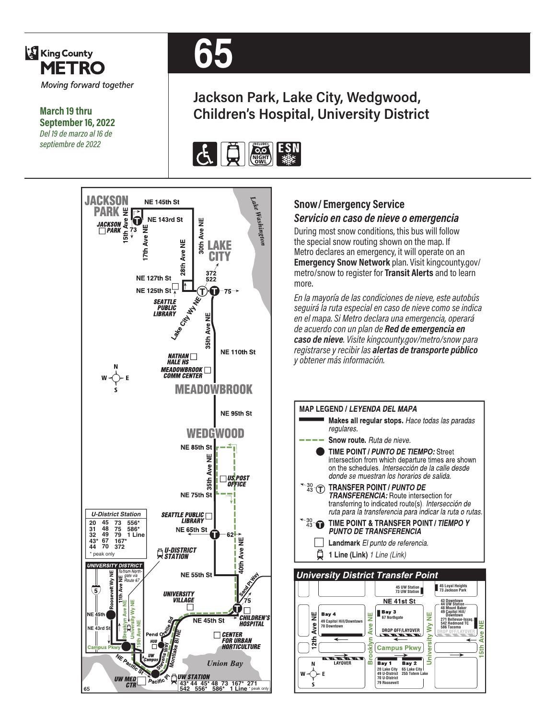

**March 19 thru September 16, 2022** *Del 19 de marzo al 16 de septiembre de 2022*



# **Jackson Park, Lake City, Wedgwood, Children's Hospital, University District**





#### **Snow/ Emergency Service**  *Servicio en caso de nieve o emergencia*

During most snow conditions, this bus will follow the special snow routing shown on the map. If Metro declares an emergency, it will operate on an **Emergency Snow Network** plan. Visit kingcounty.gov/ metro/snow to register for **Transit Alerts** and to learn more.

*En la mayoría de las condiciones de nieve, este autobús seguirá la ruta especial en caso de nieve como se indica en el mapa. Si Metro declara una emergencia, operará de acuerdo con un plan de Red de emergencia en caso de nieve. Visite kingcounty.gov/metro/snow para registrarse y recibir las alertas de transporte público y obtener más información.*



#### **University District Transfer Point**

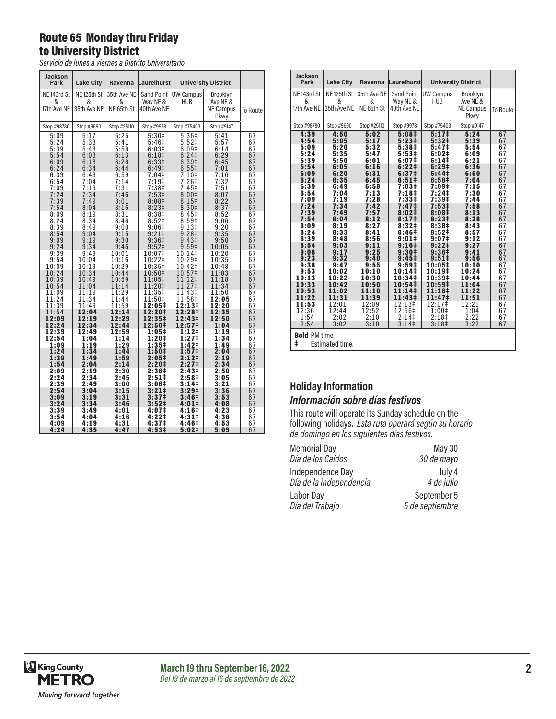#### Route 65 Monday thru Friday to University District

*Servicio de lunes a viernes a Distrito Universitario*

| <b>Jackson</b><br>Park          | <b>Lake City</b>                | Ravenna                        | Laurelhurst             |                               | <b>University District</b>                       |          |
|---------------------------------|---------------------------------|--------------------------------|-------------------------|-------------------------------|--------------------------------------------------|----------|
| NE 143rd St<br>&<br>17th Ave NE | NE 125th St<br>&<br>35th Ave NE | 35th Ave NE<br>&<br>NE 65th St | Way NE &<br>40th Ave NE | Sand Point   UW Campus<br>HUB | Brooklyn<br>Ave NE &<br><b>NE Campus</b><br>Pkwy | To Route |
| Stop #98780                     | Stop #9690                      | Stop #25110                    | Stop #9978              | Stop #75403                   | Stop #9147                                       |          |
| 5:09                            | 5:17                            | 5:25                           | $5:30+$                 | 5:36#                         | 5:41                                             | 67       |
| 5:24                            | 5:33                            | 5:41                           | 5:46‡                   | 5:52#                         | 5:57                                             | 67       |
| 5:39                            | 5:48                            | 5:58                           | 6:03 <sup>‡</sup>       | 6:09#                         | 6:14                                             | 67       |
| 5:54                            | 6:03                            | 6:13                           | 6:18 <sup>‡</sup>       | 6:24                          | 6:29                                             | 67       |
| 6:09                            | 6:18                            | 6:28                           | 6:33 <sup>‡</sup>       | 6:39 <sup>‡</sup>             | 6:45                                             | 67       |
| 6:24                            | 6:34                            | 6:44                           | 6:49 <sup>‡</sup>       | $6:55\frac{1}{2}$             | 7:01                                             | 67       |
| 6:39                            | 6:49                            | 6:59                           | 7:04‡                   | 7:10‡                         | 7:16                                             | 67       |
| 6:54                            | 7:04                            | 7:14                           | 7:19‡                   | $7:26+$                       | 7:32                                             | 67       |
| 7:09                            | 7:19                            | 7:31                           | 7:38 <sup>‡</sup>       | 7:45 <sup>‡</sup>             | 7:51                                             | 67       |
| 7:24                            | 7:34                            | 7:46                           | 7:53‡                   | 8:00‡                         | 8:07                                             | 67       |
| 7:39                            | 7:49                            | 8:01                           | 8:08 <sup>‡</sup>       | $8:15+$                       | 8:22                                             | 67       |
| 7:54                            | 8:04                            | 8:16                           | 8:23 <sup>‡</sup>       | 8:30 <sup>‡</sup>             | 8:37                                             | 67       |
| 8:09                            | 8:19                            | 8:31                           | 8:38‡                   | 8:45 <sup>‡</sup>             | 8:52                                             | 67       |
| 8:24                            | 8:34                            | 8:46                           | 8:52‡                   | 8:59 <sup>‡</sup>             | 9:06                                             | 67       |
| 8:39                            | 8:49                            | 9:00                           | 9:06‡                   | 9:13 <sup>‡</sup>             | 9:20                                             | 67       |
| 8:54                            | 9:04                            | 9:15                           | 9:21                    | 9:28‡                         | 9:35                                             | 67       |
| 9:09                            | 9:19                            | 9:30                           | 9:36 <sup>‡</sup>       | 9:43 <sup>‡</sup>             | 9:50                                             | 67       |
| 9:24                            | 9:34                            | 9:46                           | 9:52 <sup>‡</sup>       | 9:59 <sup>‡</sup>             | 10:05                                            | 67       |
| 9:39                            | 9:49                            | 10:01                          | 10:07‡                  | 10:14‡                        | 10:20                                            | 67       |
| 9:54                            | 10:04                           | 10:16                          | 10:22‡                  | 10:29‡                        | 10:35                                            | 67       |
| 10:09                           | 10:19                           | 10:29                          | 10:35‡                  | 10:42‡                        | 10:48                                            | 67       |
| 10:24                           | 10:34                           | 10:44                          | 10:50‡                  | 10:57‡                        | 11:03                                            | 67       |
| 10:39                           | 10:49                           | 10:59                          | 11:05‡                  | 11:12‡                        | 11:18                                            | 67       |
| 10:54                           | 11:04                           | 11:14                          | 11:20‡                  | 11:27‡                        | 11:34                                            | 67       |
| 11:09                           | 11:19                           | 11:29                          | 11:35‡                  | 11:43‡                        | 11:50                                            | 67       |
| 11:24                           | 11:34                           | 11:44                          | $11:50+$                | 11:58‡                        | 12:05                                            | 67       |
| 11:39                           | 11:49                           | 11:59                          | 12:05‡                  | 12:13‡                        | 12:20                                            | 67       |
| 11:54                           | 12:04                           | 12:14                          | 12:20‡                  | 12:28‡                        | 12:35                                            | 67       |
| 12:09                           | 12:19                           | 12:29                          | 12:35‡                  | 12:43‡                        | 12:50                                            | 67       |
| 12:24                           | 12:34                           | 12:44                          | 12:50‡                  | 12:57‡                        | 1:04                                             | 67       |
| 12:39                           | 12:49                           | 12:59                          | 1:05‡                   | 1:12‡                         | 1:19                                             | 67       |
| 12:54                           | 1:04                            | 1:14                           | 1:20‡                   | 1:27‡                         | 1:34                                             | 67       |
| 1:09                            | 1:19                            | 1:29                           | 1:35‡                   | 1:42‡                         | 1:49                                             | 67       |
| 1:24                            | 1:34                            | 1:44                           | 1:50‡                   | 1:57‡                         | 2:04                                             | 67       |
| 1:39                            | 1:49                            | 1:59                           | 2:05‡                   | 2:12‡                         | 2:19                                             | 67       |
| 1:54                            | 2:04                            | 2:14                           | 2:20‡                   | 2:27‡                         | 2:34                                             | 67       |
| 2:09                            | 2:19                            | 2:30                           | 2:36‡                   | 2:43‡                         | 2:50                                             | 67       |
| 2:24                            | 2:34                            | 2:45                           | $2:51\ddagger$          | 2:58‡                         | 3:05                                             | 67       |
| 2:39                            | 2:49                            | 3:00                           | 3:06‡                   | 3:14‡                         | 3:21                                             | 67       |
| 2:54                            | 3:04                            | 3:15                           | 3:21‡                   | 3:29‡                         | 3:36                                             | 67       |
| 3:09                            | 3:19                            | 3:31                           | 3:37‡                   | 3:46 <sup>‡</sup>             | 3:53                                             | 67       |
| 3:24                            | 3:34                            | 3:46                           | $3:52\ddagger$          | 4:01‡                         | 4:08                                             | 67       |
| 3:39                            | 3:49                            | 4:01                           | 4:07‡                   | 4:16‡                         | 4:23                                             | 67       |
| 3:54                            | 4:04                            | 4:16                           | 4:22‡                   | 4:31‡                         | 4:38                                             | 67       |
| 4:09                            | 4:19                            | 4:31                           | 4:37‡                   | 4:46‡                         | 4:53                                             | 67       |
| 4:24                            | 4:35                            | 4:47                           | 4:53‡                   | 5:02‡                         | 5:09                                             | 67       |

| <b>Jackson</b><br>Park                                                                                                                                                                                                     | <b>Lake City</b>                                                                                                                                                                                                            |                                                                                                                                                                                                                             | Ravenna Laurelhurst                                                                                                                                                                                                                                                                                                               |                                                                                                                                                                                                                                                                                                                 | <b>University District</b>                                                                                                                                                                                                  |                                                                                                                                                                |
|----------------------------------------------------------------------------------------------------------------------------------------------------------------------------------------------------------------------------|-----------------------------------------------------------------------------------------------------------------------------------------------------------------------------------------------------------------------------|-----------------------------------------------------------------------------------------------------------------------------------------------------------------------------------------------------------------------------|-----------------------------------------------------------------------------------------------------------------------------------------------------------------------------------------------------------------------------------------------------------------------------------------------------------------------------------|-----------------------------------------------------------------------------------------------------------------------------------------------------------------------------------------------------------------------------------------------------------------------------------------------------------------|-----------------------------------------------------------------------------------------------------------------------------------------------------------------------------------------------------------------------------|----------------------------------------------------------------------------------------------------------------------------------------------------------------|
| NE <sub>143rd</sub> St<br>&<br>17th Ave NE                                                                                                                                                                                 | NE 125th St<br>&<br>35th Ave NE                                                                                                                                                                                             | 35th Ave NE<br>&<br>NE 65th St                                                                                                                                                                                              | Way NE &<br>40th Ave NE                                                                                                                                                                                                                                                                                                           | Sand Point   UW Campus  <br>HUB                                                                                                                                                                                                                                                                                 | Brooklyn<br>Ave NE &<br><b>NE Campus</b><br>Pkwy                                                                                                                                                                            | To Route                                                                                                                                                       |
| Stop #98780                                                                                                                                                                                                                | Stop #9690                                                                                                                                                                                                                  | Stop #25110                                                                                                                                                                                                                 | Stop #9978                                                                                                                                                                                                                                                                                                                        | Stop #75403                                                                                                                                                                                                                                                                                                     | Stop #9147                                                                                                                                                                                                                  |                                                                                                                                                                |
| 4:39<br>4:54                                                                                                                                                                                                               | 4:50<br>5:05                                                                                                                                                                                                                | 5:02<br>5:17                                                                                                                                                                                                                | 5:08 <sup>‡</sup><br>5:23 <sup>‡</sup>                                                                                                                                                                                                                                                                                            | 5:17 <sup>‡</sup><br>5:32‡                                                                                                                                                                                                                                                                                      | 5:24<br>5:39                                                                                                                                                                                                                | 67<br>67                                                                                                                                                       |
| 5:09<br>5:24<br>5:39<br>5:54<br>6:09<br>6:24<br>6:39<br>6:54<br>7:09<br>7:24<br>7:39<br>7:54<br>8:09<br>8:24<br>8:39<br>8:54<br>9:08<br>9:23<br>9:38<br>9:53<br>10:13<br>10:33<br>10:53<br>11:22<br>11:53<br>12:36<br>1:54 | 5:20<br>5:35<br>5:50<br>6:05<br>6:20<br>6:35<br>6:49<br>7:04<br>7:19<br>7:34<br>7:49<br>8:04<br>8:19<br>8:33<br>8:48<br>9:03<br>9:17<br>9:32<br>9:47<br>10:02<br>10:22<br>10:42<br>11:02<br>11:31<br>12:01<br>12:44<br>2:02 | 5:32<br>5:47<br>6:01<br>6:16<br>6:31<br>6:45<br>6:58<br>7:13<br>7:28<br>7:42<br>7:57<br>8:12<br>8:27<br>8:41<br>8:56<br>9:11<br>9:25<br>9:40<br>9:55<br>10:10<br>10:30<br>10:50<br>11:10<br>11:39<br>12:09<br>12:52<br>2:10 | 5:38 <sup>‡</sup><br>$5:53+$<br>6:07‡<br>6:221<br>6:37 <sup>‡</sup><br>$6:51\pm$<br>7:03‡<br>7:18‡<br>7:33‡<br>7:47‡<br>8:02‡<br>8:17 <sup>‡</sup><br>8:32#<br>8:46‡<br>$9:01\pm$<br>$9:16 \ddagger$<br>$9:30\ddagger$<br>$9:45\ddagger$<br>9:59‡<br>10:14‡<br>10:34‡<br>10:54‡<br>11:14‡<br>11:43‡<br>$12:13+$<br>12:56‡<br>2:14 | 5:47‡<br>$6:02*$<br>6:14‡<br>6:29‡<br>6:44 <sup>‡</sup><br>6:58 <sup>‡</sup><br>7:09‡<br>7:24‡<br>7:39‡<br>7:53‡<br>8:08‡<br>8:23#<br>8:38‡<br>8:52‡<br>9:07 <sup>‡</sup><br>$9:22 \;$<br>9:36#<br>9:51‡<br>10:05‡<br>10:19‡<br>10:39‡<br>10:59‡<br>11:18‡<br>11:47‡<br>12:17‡<br>$1:00$ ‡<br>2:18 <sup>‡</sup> | 5:54<br>6:09<br>6:21<br>6:36<br>6:50<br>7:04<br>7:15<br>7:30<br>7:44<br>7:58<br>8:13<br>8:28<br>8:43<br>8:57<br>9:12<br>9:27<br>9:41<br>9:56<br>10:10<br>10:24<br>10:44<br>11:04<br>11:22<br>11:51<br>12:21<br>1:04<br>2:22 | 67<br>67<br>67<br>67<br>67<br>67<br>67<br>67<br>67<br>67<br>67<br>67<br>67<br>67<br>67<br>67<br>67<br>67<br>67<br>67<br>67<br>67<br>67<br>67<br>67<br>67<br>67 |
| 2:54                                                                                                                                                                                                                       | 3:02                                                                                                                                                                                                                        | 3:10                                                                                                                                                                                                                        | 3:14                                                                                                                                                                                                                                                                                                                              | 3:18 <sup>‡</sup>                                                                                                                                                                                                                                                                                               | 3:22                                                                                                                                                                                                                        | 67                                                                                                                                                             |
| <b>Bold PM time</b><br>ŧ                                                                                                                                                                                                   | Estimated time.                                                                                                                                                                                                             |                                                                                                                                                                                                                             |                                                                                                                                                                                                                                                                                                                                   |                                                                                                                                                                                                                                                                                                                 |                                                                                                                                                                                                                             |                                                                                                                                                                |

#### **Holiday Information** *Información sobre días festivos*

This route will operate its Sunday schedule on the following holidays. *Esta ruta operará según su horario de domingo en los siguientes días festivos.*

| <b>Memorial Day</b>     | <b>May 30</b>   |
|-------------------------|-----------------|
| Día de los Caídos       | 30 de mayo      |
| Independence Day        | July 4          |
| Día de la independencia | 4 de julio      |
| Labor Day               | September 5     |
| Día del Trabajo         | 5 de septiembre |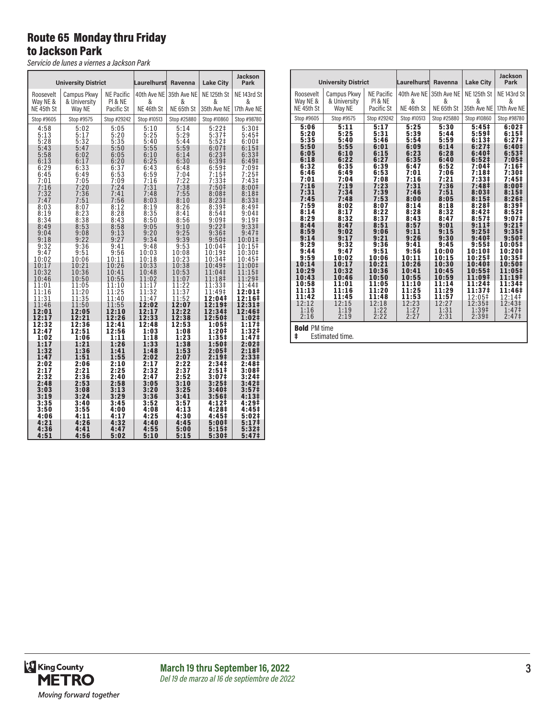#### Route 65 Monday thru Friday to Jackson Park

*Servicio de lunes a viernes a Jackson Park*

| <b>University District</b> |              | Laurelhurst       | Ravenna     | <b>Lake City</b> | Jackson<br>Park        |                        |
|----------------------------|--------------|-------------------|-------------|------------------|------------------------|------------------------|
| Roosevelt                  | Campus Pkwv  | <b>NE Pacific</b> | 40th Ave NE | 35th Ave NE      | NE <sub>125th</sub> St | NE <sub>143rd</sub> St |
| Way NE &                   | & Universitv | PI & NE           | &           | &                | &                      | &                      |
| NE 45th St                 | Way NE       | Pacific St        | NE 46th St  | NE 65th St       | 35th Ave NE            | 17th Ave NE            |
| Stop #9605                 | Stop #9575   | Stop #29242       | Stop #10513 | Stop #25880      | Stop #10860            | Stop #98780            |
| 4:58                       | 5:02         | 5:05              | 5:10        | 5:14             | $5:22$ ‡               | 5:30 <sup>‡</sup>      |
| 5:13                       | 5:17         | 5:20              | 5:25        | 5:29             | 5:37 <sup>‡</sup>      | $5:45+$                |
| 5:28                       | 5:32         | 5:35              | 5:40        | 5:44             | 5:52                   | 6:00 <sup>‡</sup>      |
| 5:43                       | 5:47         | 5:50              | 5:55        | 5:59             | $6:07\ddagger$         | $6:15+$                |
| 5:58                       | 6:02         | 6:05              | 6:10        | 6:14             | $6:23+$                | 6:33 <sup>‡</sup>      |
| 6:13                       | 6:17         | 6:20              | 6:25        | 6:30             | 6:39 <sup>‡</sup>      | 6:49 <sup>‡</sup>      |
| 6:29                       | 6:33         | 6:37              | 6:43        | 6:48             | 6:59 <sup>‡</sup>      | 7:09‡                  |
| 6:45                       | 6:49         | 6:53              | 6:59        | 7:04             | 7:15‡                  | 7:25‡                  |
| 7:01                       | 7:05         | 7:09              | 7:16        | 7:22             | 7:33 <sup>‡</sup>      | 7:43‡                  |
| 7:16                       | 7:20         | 7:24              | 7:31        | 7:38             | 7:50 <sup>‡</sup>      | 8:00 <sup>‡</sup>      |
| 7:32                       | 7:36         | 7:41              | 7:48        | 7:55             | 8:08 <sup>‡</sup>      | 8:18‡                  |
| 7:47                       | 7:51         | 7:56              | 8:03        | 8:10             | 8:231                  | 8:331                  |
| 8:03                       | 8:07         | 8:12              | 8:19        | 8:26             | 8:39‡                  | 8:49 <sup>‡</sup>      |
| 8:19                       | 8:23         | 8:28              | 8:35        | 8:41             | 8:54 <sup>‡</sup>      | 9:04‡                  |
| 8:34                       | 8:38         | 8:43              | 8:50        | 8:56             | 9:09 <sup>‡</sup>      | 9:19#                  |
| 8:49                       | 8:53         | 8:58              | 9:05        | 9:10             | 9:221                  | 9:331                  |
| 9:04                       | 9:08         | 9:13              | 9:20        | 9:25             | 9:36‡                  | 9:47‡                  |
| 9:18                       | 9:22         | 9:27              | 9:34        | 9:39             | 9:50 <sup>‡</sup>      | $10:01\pm$             |
| 9:32                       | 9:36         | 9:41              | 9:48        | 9:53             | 10:04‡                 | 10:15‡                 |
| 9:47                       | 9:51         | 9:56              | 10:03       | 10:08            | 10:19‡                 | 10:30‡                 |
| 10:02                      | 10:06        | 10:11             | 10:18       | 10:23            | 10:34‡                 | 10:45‡                 |
| 10:17                      | 10:21        | 10:26             | 10:33       | 10:38            | 10:49‡                 | 11:00‡                 |
| 10:32                      | 10:36        | 10:41             | 10:48       | 10:53            | 11:04‡                 | 11:15‡                 |
| 10:46                      | 10:50        | 10:55             | 11:02       | 11:07            | 11:18‡                 | 11:29‡                 |
| 11:01                      | 11:05        | 11:10             | 11:17       | 11:22            | 11:33‡                 | 11:44‡                 |
| 11:16                      | 11:20        | 11:25             | 11:32       | 11:37            | 11:49‡                 | 12:01‡                 |
| 11:31                      | 11:35        | 11:40             | 11:47       | 11:52            | 12:04‡                 | 12:16‡                 |
| 11:46                      | 11:50        | 11:55             | 12:02       | 12:07            | 12:19‡                 | 12:31‡                 |
| 12:01                      | 12:05        | 12:10             | 12:17       | 12:22            | 12:34‡                 | 12:46‡                 |
| 12:17                      | 12:21        | 12:26             | 12:33       | 12:38            | 12:50‡                 | 1:02‡                  |
| 12:32                      | 12:36        | 12:41             | 12:48       | 12:53            | 1:05‡                  | 1:17‡                  |
| 12:47                      | 12:51        | 12:56             | 1:03        | 1:08             | 1:20‡                  | 1:32‡                  |
| 1:02                       | 1:06         | 1:11              | 1:18        | 1:23             | 1:35‡                  | 1:47‡                  |
| 1:17                       | 1:21         | 1:26              | 1:33        | 1:38             | 1:50‡                  | 2:02‡                  |
| 1:32                       | 1:36         | 1:41              | 1:48        | 1:53             | 2:05‡                  | 2:18‡                  |
| 1:47                       | 1:51         | 1:55              | 2:02        | 2:07             | 2:19‡                  | 2:33‡                  |
| 2:02                       | 2:06         | 2:10              | 2:17        | 2:22             | 2:34‡                  | 2:48‡                  |
| 2:17                       | 2:21         | 2:25              | 2:32        | 2:37             | $2:51 \;$              | 3:08‡                  |
| 2:32                       | 2:36         | 2:40              | 2:47        | 2:52             | 3:07‡                  | 3:24‡                  |
| 2:48                       | 2:53         | 2:58              | 3:05        | 3:10             | 3:25‡                  | 3:42‡                  |
| 3:03                       | 3:08         | 3:13              | 3:20        | 3:25             | 3:40‡                  | 3:57‡                  |
| 3:19                       | 3:24         | 3:29              | 3:36        | 3:41             | 3:56‡                  | 4:13‡                  |
| 3:35                       | 3:40         | 3:45              | 3:52        | 3:57             | 4:12‡                  | 4:29‡                  |
| 3:50                       | 3:55         | 4:00              | 4:08        | 4:13             | 4:28‡                  | 4:45‡                  |
| 4:06                       | 4:11         | 4:17              | 4:25        | 4:30             | 4:45‡                  | 5:02‡                  |
| 4:21                       | 4:26         | 4:32              | 4:40        | 4:45             | 5:00‡                  | 5:17‡                  |
| 4:36                       | 4:41         | 4:47              | 4:55        | 5:00             | 5:15#                  | 5:32 <sup>‡</sup>      |
| 4:51                       | 4:56         | 5:02              | 5:10        | 5:15             | 5:30‡                  | 5:47‡                  |

|                            |                 |                   |             |             |                        | <b>Jackson</b>         |
|----------------------------|-----------------|-------------------|-------------|-------------|------------------------|------------------------|
| <b>University District</b> |                 |                   | Laurelhurst | Ravenna     | <b>Lake City</b>       | Park                   |
| Roosevelt                  | Campus Pkwy     | <b>NE Pacific</b> | 40th Ave NE | 35th Ave NE | NE <sub>125th</sub> St | NE <sub>143rd</sub> St |
| Way NE &                   | & University    | PI & NE           | &           | &           | &                      | &                      |
| NE 45th St                 | Way NE          | Pacific St        | NE 46th St  | NE 65th St  | 35th Ave NE            | 17th Ave NE            |
| Stop #9605                 | Stop #9575      | Stop #29242       | Stop #10513 | Stop #25880 | Stop #10860            | Stop #98780            |
| 5:06                       | 5:11            | 5:17              | 5:25        | 5:30        | 5:45#                  | 6:02#                  |
| 5:20                       | 5:25            | 5:31              | 5:39        | 5:44        | 5:59#                  | 6:15‡                  |
| 5:35                       | 5:40            | 5:46              | 5:54        | 5:59        | 6:13#                  | 6:27‡                  |
| 5:50                       | 5:55            | 6:01              | 6:09        | 6:14        | 6:27 <sup>‡</sup>      | 6:40‡                  |
| 6:05                       | 6:10            | 6:15              | 6:23        | 6:28        | 6:40‡                  | 6:53#                  |
| 6:18                       | 6:22            | 6:27              | 6:35        | 6:40        | 6:52 <sup>‡</sup>      | 7:05‡                  |
| 6:32                       | 6:35            | 6:39              | 6:47        | 6:52        | 7:04‡                  | 7:16‡                  |
| 6:46                       | 6:49            | 6:53              | 7:01        | 7:06        | 7:18‡                  | 7:30‡                  |
| 7:01                       | 7:04            | 7:08              | 7:16        | 7:21        | 7:33‡                  | 7:45‡                  |
| 7:16                       | 7:19            | 7:23              | 7:31        | 7:36        | 7:48‡                  | 8:001                  |
| 7:31                       | 7:34            | 7:39              | 7:46        | 7:51        | 8:03#                  | 8:15#                  |
| 7:45                       | 7:48            | 7:53              | 8:00        | 8:05        | 8:15 <sup>‡</sup>      | 8:26#                  |
| 7:59                       | 8:02            | 8:07              | 8:14        | 8:18        | 8:28 <sup>‡</sup>      | 8:39‡                  |
| 8:14                       | 8:17            | 8:22              | 8:28        | 8:32        | 8:42 <sup>‡</sup>      | 8:52#                  |
| 8:29                       | 8:32            | 8:37              | 8:43        | 8:47        | 8:57 <sup>‡</sup>      | $9:07\ddagger$         |
| 8:44                       | 8:47            | 8:51              | 8:57        | 9:01        | $9:11\ddagger$         | $9:21 \;$              |
| 8:59                       | 9:02            | 9:06              | 9:11        | 9:15        | 9:25 <sup>‡</sup>      | 9:35 <sup>‡</sup>      |
| 9:14                       | 9:17            | 9:21              | 9:26        | 9:30        | 9:40‡                  | 9:50‡                  |
| 9:29                       | 9:32            | 9:36              | 9:41        | 9:45        | 9:551                  | 10:05‡                 |
| 9:44                       | 9:47            | 9:51              | 9:56        | 10:00       | 10:10‡                 | 10:20‡                 |
| 9:59                       | 10:02           | 10:06             | 10:11       | 10:15       | 10:25‡                 | 10:35‡                 |
| 10:14                      | 10:17           | 10:21             | 10:26       | 10:30       | 10:40‡                 | 10:50‡                 |
| 10:29                      | 10:32           | 10:36             | 10:41       | 10:45       | $10:55^{\ddagger}$     | 11:05‡                 |
| 10:43                      | 10:46           | 10:50             | 10:55       | 10:59       | 11:09‡                 | 11:19‡                 |
| 10:58                      | 11:01           | 11:05             | 11:10       | 11:14       | 11:24‡                 | 11:34‡                 |
| 11:13                      | 11:16           | 11:20             | 11:25       | 11:29       | 11:37‡                 | 11:46‡                 |
| 11:42                      | 11:45           | 11:48             | 11:53       | 11:57       | $12:05+$               | 12:14‡                 |
| 12:12                      | 12:15           | 12:18             | 12:23       | 12:27       | 12:35‡                 | 12:43‡                 |
| 1:16                       | 1:19            | 1:22              | 1:27        | 1:31        | 1:39 <sup>‡</sup>      | 1:47 <sup>‡</sup>      |
| 2:16                       | 2:19            | 2:22              | 2:27        | 2:31        | 2:39 <sup>‡</sup>      | 2:47 <sup>‡</sup>      |
| <b>Bold PM time</b><br>ŧ   | Estimated time. |                   |             |             |                        |                        |

King County<br>METRO Moving forward together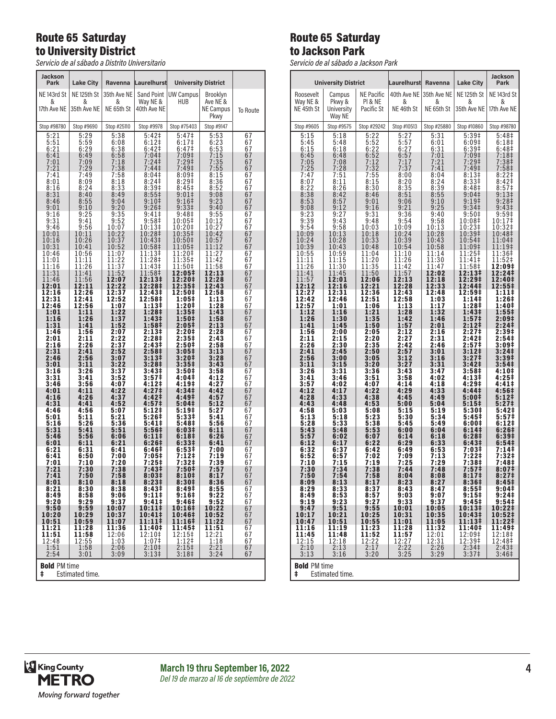#### Route 65 Saturday to University District

*Servicio de al sábado a Distrito Universitario*

| <b>Jackson</b><br>Park                      | <b>Lake City</b>                 | Ravenna                        | Laurelhurst                                     |                                     | <b>University District</b>                |                                               |
|---------------------------------------------|----------------------------------|--------------------------------|-------------------------------------------------|-------------------------------------|-------------------------------------------|-----------------------------------------------|
| NE 143rd St<br>&<br>17th Ave NE             | NE 125th St<br>&<br>35th Ave NE  | 35th Ave NE<br>&<br>NE 65th St | Sand Point<br>Way NE &<br>40th Ave NE           | <b>UW Campus</b><br>HUB             | Brooklyn<br>Ave NE &<br>NE Campus<br>Pkwy | To Route                                      |
| Stop #98780                                 | Stop #9690                       | Stop #25110                    | Stop #9978                                      | Stop #75403                         | Stop #9147                                |                                               |
| 5:21                                        | 5:29                             | 5:38                           | $5:42\dagger$                                   | 5:47‡                               | 5:53                                      | 67                                            |
| 5:51                                        | 5:59                             | 6:08                           | 6:12‡                                           | 6:17 <sup>‡</sup>                   | 6:23                                      | 67                                            |
| 6:21                                        | 6:29                             | 6:38                           | 6:42‡                                           | 6:47‡                               | 6:53                                      | 67                                            |
| 6:41<br>7:01<br>7:21                        | 6:49<br>7:09<br>7:29             | 6:58<br>7:18<br>7:38           | 7:04<br>7:24‡<br>$7:44\ddagger$                 | 7:09‡<br>7:29‡<br>7:49‡             | 7:15<br>7:35<br>7:55                      | $\begin{array}{c} 67 \\ 67 \end{array}$<br>67 |
| 7:41                                        | 7:49                             | 7:58                           | 8:04 <sup>‡</sup>                               | 8:09‡                               | 8:15                                      | 67                                            |
| 8:01                                        | 8:09                             | 8:18                           | 8:24‡                                           | 8:29‡                               | 8:36                                      | 67                                            |
| 8:16                                        | 8:24                             | 8:33                           | 8:39‡                                           | 8:45 <sup>‡</sup>                   | 8:52                                      | 67                                            |
| 8:31                                        | 8:40                             | 8:49                           | $8:55\ddagger$                                  | 9:01‡                               | 9:08                                      | 67                                            |
| 8:46                                        | 8:55                             | 9:04                           | 9:10‡                                           | 9:16‡                               | 9:23                                      | 67                                            |
| 9:01                                        | 9:10                             | 9:20                           | 9:26‡                                           | 9:33‡                               | 9:40                                      | 67                                            |
| 9:16                                        | 9:25                             | 9:35                           | 9:41‡                                           | 9:48‡                               | 9:55                                      | 67                                            |
| 9:31<br>9:46<br>10:01                       | 9:41<br>9:56<br>10:11            | 9:52<br>10:07<br>10:22         | 9:58‡<br>10:13‡<br>10:28‡                       | 10:05‡<br>10:20‡<br>10:35‡          | 10:12<br>10:27<br>10:42                   | $\frac{67}{67}$<br>67                         |
| 10:16<br>10:31<br>10:46                     | 10:26<br>10:41<br>10:56          | 10:37<br>10:52<br>11:07        | 10:43‡<br>10:58‡<br>11:13‡                      | 10:50‡<br>11:05‡<br>11:20‡          | 10:57<br>11:12<br>11:27                   | 67<br>67                                      |
| 11:01                                       | 11:11                            | 11:22                          | 11:28‡                                          | 11:35‡                              | 11:42                                     | 67<br>67                                      |
| 11:16                                       | 11:26                            | 11:37                          | 11:43‡                                          | 11:50‡                              | 11:58                                     | 67                                            |
| 11:31                                       | 11:41                            | 11:52                          | 11:58‡                                          | 12:05‡                              | 12:13                                     | 67                                            |
| 11:46                                       | 11:56                            | 12:07                          | 12:13‡                                          | 12:20‡                              | 12:28                                     | 67                                            |
| 12:01                                       | 12:11                            | 12:22                          | 12:28‡                                          | 12:35‡                              | 12:43                                     | 67                                            |
| 12:16                                       | 12:26                            | 12:37                          | 12:43‡                                          | 12:50‡                              | 12:58                                     | 67                                            |
| 12:31                                       | 12:41                            | 12:52                          | 12:58‡                                          | 1:05‡                               | 1:13                                      | 67                                            |
| 12:46                                       | 12:56                            | 1:07                           | 1:13‡                                           | 1:20‡                               | 1:28                                      | 67                                            |
| 1:01                                        | 1:11                             | 1:22                           | 1:28‡                                           | 1:35‡                               | 1:43                                      | 67                                            |
| 1:16                                        | 1:26                             | 1:37                           | 1:43‡                                           | 1:50‡                               | 1:58                                      | 67                                            |
| 1:31                                        | 1:41                             | 1:52                           | 1:58‡                                           | 2:05‡                               | 2:13                                      | 67                                            |
| 1:46                                        | 1:56                             | 2:07                           | 2:13‡                                           | 2:20‡                               | 2:28                                      | 67                                            |
| 2:01                                        | 2:11                             | 2:22                           | 2:28‡                                           | 2:35‡                               | 2:43                                      | 67                                            |
| 2:16                                        | 2:26                             | 2:37                           | 2:43‡                                           | 2:50‡                               | 2:58                                      | 67                                            |
| 2:31                                        | 2:41                             | 2:52                           | 2:58‡                                           | 3:05‡                               | 3:13                                      | 67                                            |
| 2:46                                        | 2:56                             | 3:07                           | 3:13‡                                           | 3:20‡                               | 3:28                                      | 67                                            |
| 3:01                                        | 3:11                             | 3:22                           | 3:28‡                                           | 3:35‡                               | 3:43                                      | 67                                            |
| 3:16                                        | 3:26                             | 3:37                           | 3:43‡                                           | 3:50‡                               | 3:58                                      | 67                                            |
| 3:31                                        | 3:41                             | 3:52                           | 3:57‡                                           | 4:04‡                               | 4:12                                      | 67                                            |
| 3:46                                        | 3:56                             | 4:07                           | 4:12‡                                           | 4:19‡                               | 4:27                                      | 67                                            |
| 4:01                                        | 4:11                             | 4:22                           | 4:27‡                                           | 4:34‡                               | 4:42                                      | $\overline{67}$                               |
| 4:16                                        | 4:26                             | 4:37                           | 4:42‡                                           | 4:49‡                               | 4:57                                      | 67                                            |
| 4:31                                        | 4:41                             | 4:52                           | 4:57‡                                           | 5:04‡                               | 5:12                                      | 67                                            |
| 4:46                                        | 4:56                             | 5:07                           | 5:12‡                                           | 5:19‡                               | 5:27                                      | 67                                            |
| 5:01                                        | 5:11                             | 5:21                           | 5:26‡                                           | 5:33‡                               | 5:41                                      | 67                                            |
| 5:16                                        | 5:26                             | 5:36                           | 5:41‡                                           | 5:48‡                               | 5:56                                      | 67                                            |
| 5:31                                        | 5:41                             | 5:51                           | 5:56‡                                           | 6:03‡                               | 6:11                                      | 67                                            |
| 5:46                                        | 5:56                             | 6:06                           | 6:11‡                                           | 6:18‡                               | 6:26                                      | 67                                            |
| 6:01                                        | 6:11                             | 6:21                           | 6:26‡                                           | 6:33#                               | 6:41                                      | 67                                            |
| 6:21                                        | 6:31                             | 6:41                           | 6:46‡                                           | 6:53‡                               | 7:00                                      | 67                                            |
| 6:41                                        | 6:50                             | 7:00                           | 7:05‡                                           | 7:12‡                               | 7:19                                      | 67                                            |
| 7:01                                        | 7:10                             | 7:20                           | 7:25‡                                           | 7:32‡                               | 7:39                                      | 67                                            |
| 7:21                                        | 7:30                             | 7:38                           | 7:43‡                                           | 7:50‡                               | 7:57                                      | 67                                            |
| 7:41                                        | 7:50                             | 7:58                           | 8:03#                                           | 8:10‡                               | 8:17                                      | 67                                            |
| 8:01                                        | 8:10                             | 8:18                           | 8:23‡                                           | 8:30‡                               | 8:36                                      | 67                                            |
| 8:21                                        | 8:30                             | 8:38                           | 8:43‡                                           | 8:49‡                               | 8:55                                      | 67                                            |
| 8:49                                        | 8:58                             | 9:06                           | 9:11‡                                           | 9:16‡                               | 9:22                                      | 67                                            |
| 9:20                                        | 9:29                             | 9:37                           | 9:41#                                           | 9:46‡                               | 9:52                                      | 67                                            |
| 9:50                                        | 9:59                             | 10:07                          | 10:11‡                                          | 10:16‡                              | 10:22                                     | 67                                            |
| 10:20                                       | 10:29                            | 10:37                          | 10:41‡                                          | 10:46‡                              | 10:52                                     | 67                                            |
| 10:51<br>11:21<br>11:51<br>12:48            | 10:59<br>11:28<br>11:58<br>12:55 | 11:07<br>11:36<br>12:06        | 11:11‡<br>11:40‡<br>12:10‡                      | 11:16‡<br>11:45‡<br>12:15‡<br>1:12‡ | 11:22<br>11:51<br>12:21<br>1:18           | 67<br>67<br>67                                |
| 1:51<br>2:54                                | 1:58<br>3:01                     | 1:03<br>2:06<br>3:09           | 1:07‡<br>2:10 <sup>‡</sup><br>3:13 <sup>‡</sup> | 2:15<br>3:18‡                       | $2:21$<br>$3:24$                          | 67<br>67<br>67                                |
| <b>Bold PM time</b><br>ŧ<br>Estimated time. |                                  |                                |                                                 |                                     |                                           |                                               |

## Route 65 Saturday to Jackson Park

*Servicio de al sábado a Jackson Park*

|                      | <b>University District</b> |                   | Laurelhurst          | Ravenna                       | <b>Lake City</b>                       | <b>Jackson</b><br>Park     |  |
|----------------------|----------------------------|-------------------|----------------------|-------------------------------|----------------------------------------|----------------------------|--|
| Roosevelt            | Campus                     | <b>NE Pacific</b> | 40th Ave NE          | 35th Ave NE                   | NE 125th St                            | NE <sub>143rd</sub> St     |  |
| Way NE &             | Pkwy &                     | PI & NE           | &                    | &                             | &                                      | &                          |  |
| NE 45th St           | University<br>Way NE       | Pacific St        | NE 46th St           | NE 65th St                    | 35th Ave NE                            | 17th Ave NE                |  |
| Stop #9605           | Stop #9575                 | Stop #29242       | Stop #10513          | Stop #25880                   | Stop #10860                            | Stop #98780                |  |
| 5:15                 | 5:18                       | 5:22              | 5:27                 | 5:31                          | 5:39‡                                  | 5:48 <sup>‡</sup>          |  |
| 5:45                 | 5:48                       | 5:52              | 5:57                 | 6:01                          | 6:09#                                  | 6:18‡                      |  |
| 6:15                 | 6:18                       | 6:22              | 6:27                 | 6:31                          | 6:39‡                                  | 6:48‡                      |  |
| 6:45                 | 6:48                       | 6:52              | 6:57                 | 7:01                          | 7:09‡                                  | 7:18‡                      |  |
| 7:05                 | 7:08                       | 7:12              | 7:17                 | 7:21                          | 7:29‡                                  | 7:38‡                      |  |
| 7:25                 | 7:28                       | 7:32              | 7:37                 | 7:41                          | 7:49 <sup>‡</sup>                      | 7:58‡                      |  |
| 7:47                 | 7:51                       | 7:55<br>8:15      | 8:00<br>8:20         | 8:04<br>8:24                  | 8:13 <sup>‡</sup>                      | 8:22‡                      |  |
| 8:07<br>8:22         | 8:11<br>8:26               | 8:30              | 8:35                 | 8:39                          | 8:33 <sup>‡</sup><br>8:48 <sup>‡</sup> | 8:42‡<br>8:57 <sup>‡</sup> |  |
| 8:38                 | 8:42                       | 8:46              | 8:51                 | 8:55                          | 9:04‡                                  | 9:13‡                      |  |
| 8:53                 | 8:57                       | 9:01              | 9:06                 | 9:10                          | 9:19 <sup>‡</sup>                      | 9:28 <sup>‡</sup>          |  |
| 9:08                 | 9:12                       | 9:16              | 9:21                 | 9:25                          | 9:34 <sup>‡</sup>                      | 9:43 <sup>‡</sup>          |  |
|                      | 9:27                       | 9:31              | 9:36                 | 9:40                          | 9:50‡                                  | 9:59‡                      |  |
| 9:23<br>9:39         | 9:43                       | 9:48              | 9:54                 | 9:58                          | 10:08‡                                 | 10:17‡                     |  |
| 9:54                 | 9:58                       | 10:03             | 10:09                | 10:13                         | 10:23‡                                 | 10:32‡                     |  |
| 10:09                | 10:13                      | 10:18             | 10:24                | 10:28                         | 10:39‡                                 | 10:48‡                     |  |
| 10:24                | 10:28                      | 10:33             | 10:39                | 10:43                         | 10:54‡                                 | 11:04‡                     |  |
| 10:39                | 10:43                      | 10:48             | 10:54                | 10:58                         | 11:09‡                                 | 11:19‡                     |  |
| 10:55                | 10:59                      | 11:04             | 11:10                | 11:14                         | 11:25‡                                 | 11:36‡                     |  |
| 11:11                | 11:15                      | 11:20             | 11:26                | 11:30                         | 11:41‡                                 | 11:52‡                     |  |
| 11:26                | 11:30                      | 11:35             | 11:42                | 11:47                         | 11:58‡                                 | 12:09‡                     |  |
| 11:41                | 11:45                      | 11:50             | 11:57                | 12:02                         | 12:13‡                                 | 12:24‡                     |  |
| 11:57                | 12:01                      | 12:06             | 12:13                | 12:18                         | 12:29‡                                 | 12:40‡                     |  |
| 12:12                | 12:16                      | 12:21             | 12:28                | 12:33                         | 12:44‡                                 | 12:55‡                     |  |
| 12:27                | 12:31                      | 12:36             | 12:43                | 12:48                         | 12:59‡                                 | 1:11‡                      |  |
| 12:42                | 12:46                      | 12:51             | 12:58                | 1:03                          | 1:14‡                                  | 1:26‡                      |  |
| 12:57                | 1:01                       | 1:06              | 1:13                 | 1:17                          | 1:28‡                                  | 1:40‡                      |  |
| 1:12                 | 1:16                       | 1:21              | 1:28                 | 1:32                          | 1:43‡                                  | 1:55‡                      |  |
| 1:26                 | 1:30                       | 1:35              | 1:42                 | 1:46                          | 1:57‡                                  | 2:09‡                      |  |
| 1:41                 | 1:45                       | 1:50              | 1:57                 | 2:01                          | 2:12‡                                  | 2:24‡                      |  |
| 1:56                 | 2:00                       | 2:05              | 2:12                 | 2:16                          | 2:27‡                                  | 2:39‡                      |  |
| 2:11                 | 2:15                       | 2:20              | 2:27                 | 2:31                          | 2:42‡                                  | 2:54‡                      |  |
| 2:26                 | 2:30                       | 2:35              | 2:42                 | 2:46                          | 2:57‡                                  | 3:09‡                      |  |
| 2:41                 | 2:45                       | 2:50              | 2:57                 | 3:01                          | 3:12‡                                  | 3:24‡                      |  |
| 2:56                 | 3:00                       | 3:05              | 3:12                 | 3:16                          | 3:27‡                                  | 3:39‡                      |  |
| 3:11                 | 3:15                       | 3:20              | 3:27                 | 3:31                          | 3:42 <sup>‡</sup>                      | 3:54‡                      |  |
| 3:26                 | 3:31                       | 3:36              | 3:43                 | 3:47                          | 3:58 <sup>‡</sup>                      | 4:10‡                      |  |
| 3:41                 | 3:46                       | 3:51              | 3:58                 | 4:02                          | 4:13‡                                  | 4:25‡                      |  |
| 3:57                 | 4:02                       | 4:07              | 4:14                 | 4:18                          | 4:29‡                                  | 4:41‡                      |  |
| 4:12                 | 4:17                       | 4:22              | 4:29                 | 4:33                          | 4:44‡                                  | 4:56‡                      |  |
| 4:28                 | 4:33                       | 4:38              | 4:45                 | 4:49                          | 5:00‡                                  | 5:12‡                      |  |
| 4:43                 | 4:48                       | 4:53              | 5:00                 | 5:04                          | 5:15#                                  | 5:27‡                      |  |
| 4:58                 | 5:03                       | 5:08              | 5:15                 | 5:19                          | 5:30‡                                  | 5:42‡                      |  |
| 5:13                 | 5:18                       | 5:23              | 5:30                 | 5:34                          | 5:45‡                                  | 5:57‡                      |  |
| 5:28                 | 5:33                       | 5:38              | 5:45                 | 5:49                          | 6:00‡                                  | 6:12‡                      |  |
| 5:43                 | 5:48                       | 5:53              | 6:00                 | 6:04                          | 6:141                                  | 6:26‡                      |  |
| 5:57                 | 6:02                       | 6:07              | 6:14                 | 6:18                          | 6:28 <sup>‡</sup>                      | 6:39‡                      |  |
| 6:12                 | 6:17                       | 6:22              | 6:29                 | 6:33                          | 6:43‡                                  | 6:54‡                      |  |
| 6:32                 | 6:37                       | 6:42              | 6:49                 | 6:53                          | 7:03‡                                  | 7:14‡                      |  |
| 6:52                 | 6:57                       | 7:02              | 7:09                 | 7:13                          | 7:22‡                                  | 7:32‡                      |  |
| 7:10                 | 7:15                       | 7:19              | 7:25                 | 7:29                          | 7:38‡                                  | 7:48‡                      |  |
| 7:30                 | 7:34                       | 7:38              | 7:44                 | 7:48                          | 7:57‡                                  | 8:07‡                      |  |
| 7:50                 | 7:54                       | 7:58              | 8:04                 | 8:08                          | 8:17‡                                  | 8:27‡                      |  |
| 8:09                 | 8:13                       | 8:17              | 8:23                 | 8:27                          | 8:36‡                                  | 8:45‡                      |  |
| 8:29                 | 8:33                       | 8:37              | 8:43                 | 8:47                          | 8:55‡                                  | 9:04‡                      |  |
| 8:49                 | 8:53                       | 8:57              | 9:03                 | 9:07                          | 9:15#                                  | $9:24+$                    |  |
| 9:19                 | 9:23                       | 9:27              | 9:33                 | 9:37                          | 9:45‡                                  | 9:54 <sup>‡</sup>          |  |
| 9:47                 | 9:51                       | $9:55$<br>10:25   | 10:01                | 10:05                         | 10:13‡                                 | 10:22‡                     |  |
| 10:17                | 10:21                      |                   | 10:31                | 10:35                         | 10:43‡                                 | 10:52‡                     |  |
| 10:47                | 10:51                      | 10:55             | 11:01                | 11:05                         | 11:13‡                                 | 11:22‡                     |  |
| 11:16                | 11:19                      | 11:23             | 11:28                | 11:32                         | 11:40‡                                 | 11:49‡                     |  |
| 11:45                | 11:48<br>12:18             | 11:52<br>12:22    | 11:57                | 12:01                         | 12:09‡                                 | 12:18‡<br>12:48‡           |  |
| $\frac{12:15}{2:10}$ | 2:13                       | 2:17              | $\frac{12:27}{2:22}$ | $\frac{1}{2}$ : $\frac{3}{2}$ | 12:39‡<br>2:34‡                        | 2:43 <sup>‡</sup>          |  |
| 3:13                 | 3:16                       | 3:20              | 3:25                 | 3:29                          | 3:37 <sup>‡</sup>                      | 3:46‡                      |  |
| <b>Bold PM time</b>  |                            |                   |                      |                               |                                        |                            |  |

‡ Estimated time.